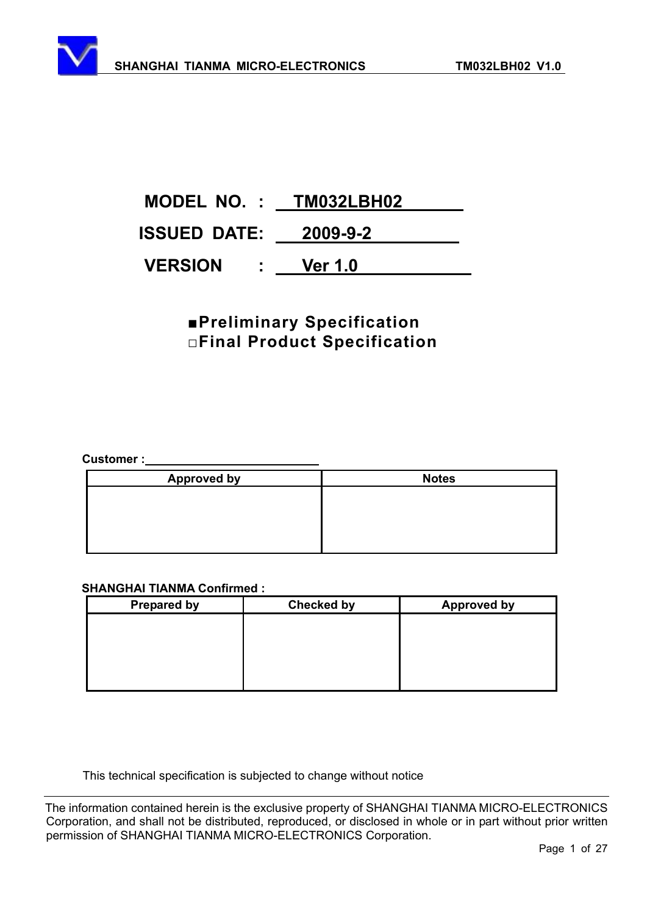

## **<u>EPreliminary Specification</u> ƑFinal Product Specification**

**Customer :** 

| <b>Approved by</b> | <b>Notes</b> |
|--------------------|--------------|
|                    |              |
|                    |              |
|                    |              |
|                    |              |

#### **SHANGHAI TIANMA Confirmed :**

| <b>Prepared by</b> | <b>Checked by</b> | <b>Approved by</b> |
|--------------------|-------------------|--------------------|
|                    |                   |                    |
|                    |                   |                    |
|                    |                   |                    |
|                    |                   |                    |
|                    |                   |                    |

This technical specification is subjected to change without notice

The information contained herein is the exclusive property of SHANGHAI TIANMA MICRO-ELECTRONICS Corporation, and shall not be distributed, reproduced, or disclosed in whole or in part without prior written permission of SHANGHAI TIANMA MICRO-ELECTRONICS Corporation.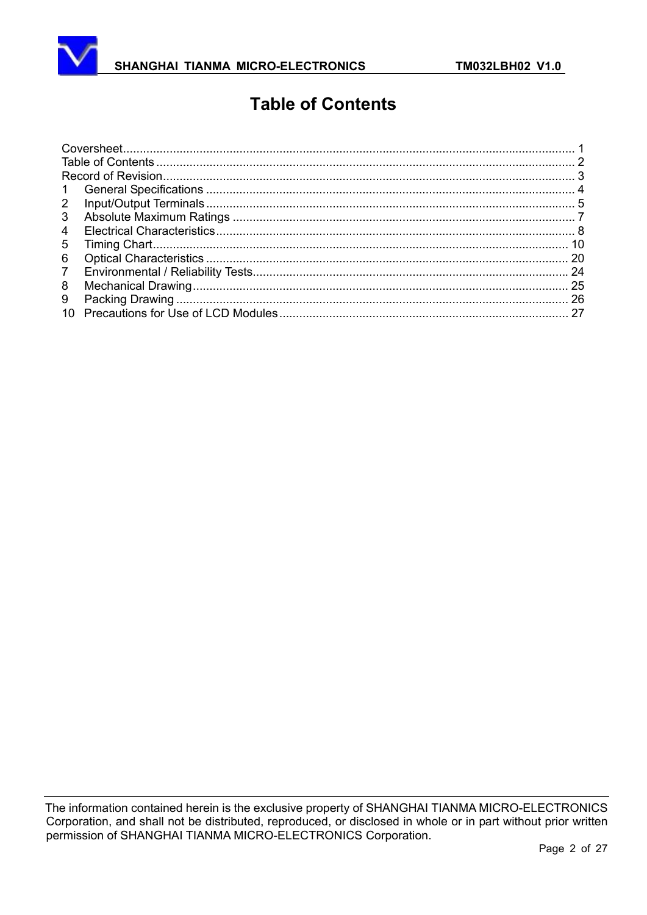

# **Table of Contents**

| $\mathbf{1}$   |  |
|----------------|--|
| $\overline{2}$ |  |
| 3              |  |
| 4              |  |
| 5              |  |
| 6              |  |
| $\overline{7}$ |  |
| 8              |  |
| 9              |  |
| 10             |  |
|                |  |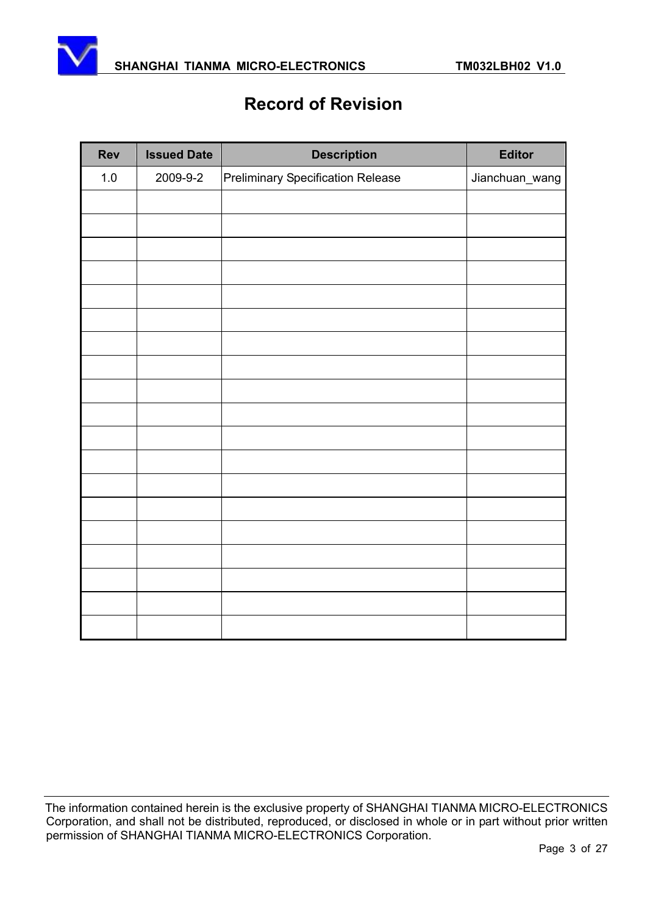

# **Record of Revision**

| <b>Rev</b> | <b>Issued Date</b> | <b>Description</b>                | <b>Editor</b>  |
|------------|--------------------|-----------------------------------|----------------|
| $1.0$      | 2009-9-2           | Preliminary Specification Release | Jianchuan_wang |
|            |                    |                                   |                |
|            |                    |                                   |                |
|            |                    |                                   |                |
|            |                    |                                   |                |
|            |                    |                                   |                |
|            |                    |                                   |                |
|            |                    |                                   |                |
|            |                    |                                   |                |
|            |                    |                                   |                |
|            |                    |                                   |                |
|            |                    |                                   |                |
|            |                    |                                   |                |
|            |                    |                                   |                |
|            |                    |                                   |                |
|            |                    |                                   |                |
|            |                    |                                   |                |
|            |                    |                                   |                |
|            |                    |                                   |                |
|            |                    |                                   |                |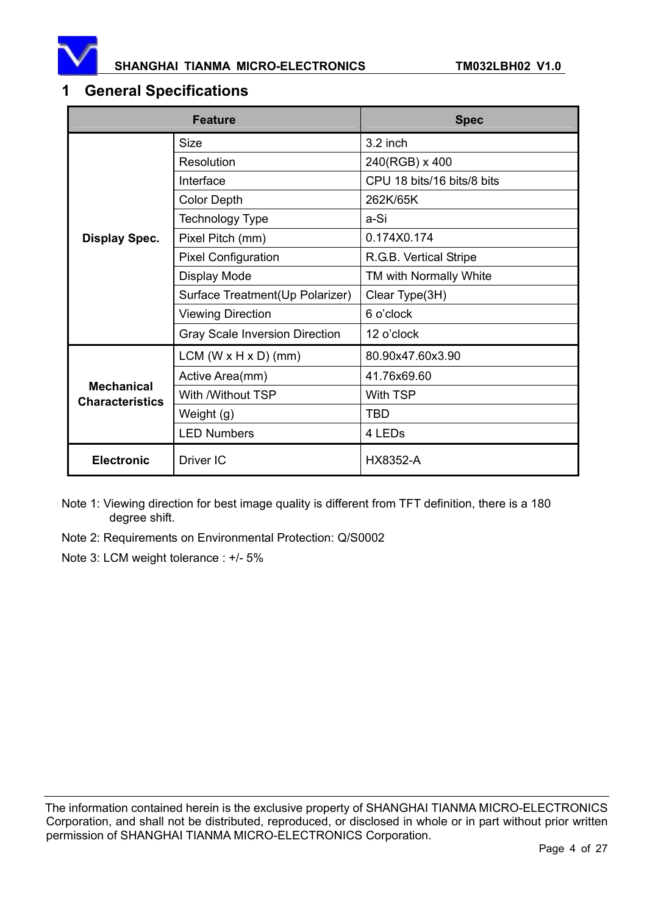

#### SHANGHAI TIANMA MICRO-ELECTRONICS **TM032LBH02 V1.0**

### **1 General Specifications**

|                                             | <b>Feature</b>                        | <b>Spec</b>                |  |
|---------------------------------------------|---------------------------------------|----------------------------|--|
|                                             | <b>Size</b>                           | 3.2 inch                   |  |
|                                             | Resolution                            | 240(RGB) x 400             |  |
|                                             | Interface                             | CPU 18 bits/16 bits/8 bits |  |
|                                             | <b>Color Depth</b>                    | 262K/65K                   |  |
|                                             | Technology Type                       | a-Si                       |  |
| <b>Display Spec.</b>                        | Pixel Pitch (mm)                      | 0.174X0.174                |  |
|                                             | <b>Pixel Configuration</b>            | R.G.B. Vertical Stripe     |  |
|                                             | Display Mode                          | TM with Normally White     |  |
|                                             | Surface Treatment(Up Polarizer)       | Clear Type(3H)             |  |
|                                             | <b>Viewing Direction</b>              | 6 o'clock                  |  |
|                                             | <b>Gray Scale Inversion Direction</b> | 12 o'clock                 |  |
|                                             | $LCM (W \times H \times D) (mm)$      | 80.90x47.60x3.90           |  |
|                                             | Active Area(mm)                       | 41.76x69.60                |  |
| <b>Mechanical</b><br><b>Characteristics</b> | With /Without TSP                     | <b>With TSP</b>            |  |
|                                             | Weight (g)                            | <b>TBD</b>                 |  |
|                                             | <b>LED Numbers</b>                    | 4 LEDs                     |  |
| <b>Electronic</b>                           | Driver IC                             | <b>HX8352-A</b>            |  |

Note 1: Viewing direction for best image quality is different from TFT definition, there is a 180 degree shift.

Note 2: Requirements on Environmental Protection: Q/S0002

Note 3: LCM weight tolerance : +/- 5%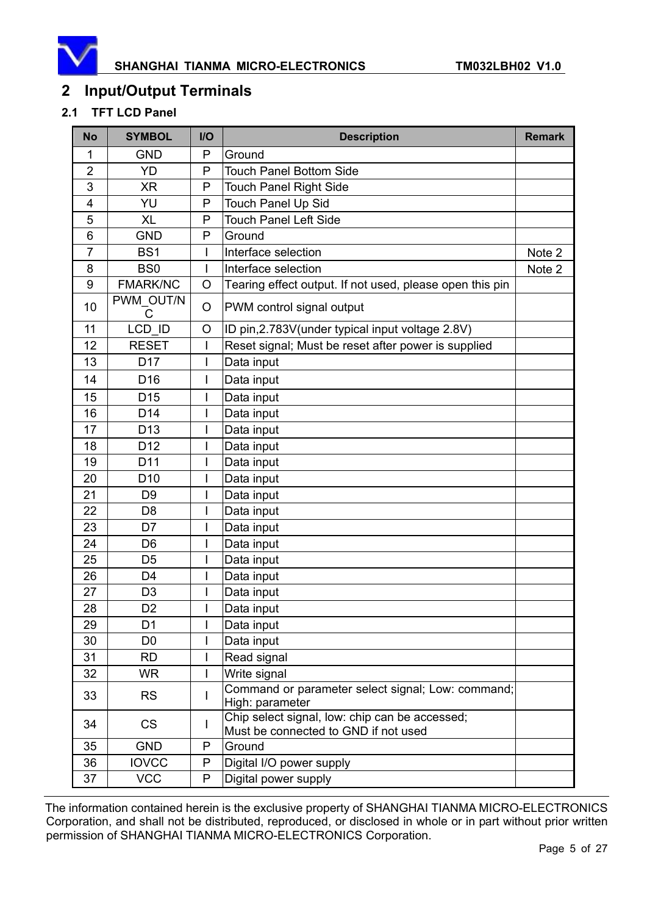

### **2 Input/Output Terminals**

#### **2.1 TFT LCD Panel**

| <b>No</b>      | <b>SYMBOL</b>   | $1/O$ | <b>Description</b>                                                                     | <b>Remark</b> |
|----------------|-----------------|-------|----------------------------------------------------------------------------------------|---------------|
| 1              | <b>GND</b>      | P     | Ground                                                                                 |               |
| $\overline{2}$ | YD              | P     | <b>Touch Panel Bottom Side</b>                                                         |               |
| 3              | XR              | P     | <b>Touch Panel Right Side</b>                                                          |               |
| 4              | YU              | P     | <b>Touch Panel Up Sid</b>                                                              |               |
| 5              | <b>XL</b>       | P     | <b>Touch Panel Left Side</b>                                                           |               |
| 6              | <b>GND</b>      | P     | Ground                                                                                 |               |
| $\overline{7}$ | BS <sub>1</sub> | I     | Interface selection                                                                    | Note 2        |
| 8              | BS <sub>0</sub> | I     | Interface selection                                                                    | Note 2        |
| 9              | <b>FMARK/NC</b> | O     | Tearing effect output. If not used, please open this pin                               |               |
| 10             | PWM OUT/N<br>C  | O     | PWM control signal output                                                              |               |
| 11             | LCD ID          | O     | ID pin, 2.783V (under typical input voltage 2.8V)                                      |               |
| 12             | <b>RESET</b>    | I     | Reset signal; Must be reset after power is supplied                                    |               |
| 13             | D <sub>17</sub> | I     | Data input                                                                             |               |
| 14             | D <sub>16</sub> | I     | Data input                                                                             |               |
| 15             | D <sub>15</sub> | I     | Data input                                                                             |               |
| 16             | D <sub>14</sub> | I     | Data input                                                                             |               |
| 17             | D <sub>13</sub> | I     | Data input                                                                             |               |
| 18             | D <sub>12</sub> |       | Data input                                                                             |               |
| 19             | D11             | I     | Data input                                                                             |               |
| 20             | D <sub>10</sub> | I     | Data input                                                                             |               |
| 21             | D <sub>9</sub>  | I     | Data input                                                                             |               |
| 22             | D <sub>8</sub>  | I     | Data input                                                                             |               |
| 23             | D7              | I     | Data input                                                                             |               |
| 24             | D <sub>6</sub>  | I     | Data input                                                                             |               |
| 25             | D <sub>5</sub>  | I     | Data input                                                                             |               |
| 26             | D <sub>4</sub>  | I     | Data input                                                                             |               |
| 27             | D <sub>3</sub>  | I     | Data input                                                                             |               |
| 28             | D <sub>2</sub>  |       | Data input                                                                             |               |
| 29             | D <sub>1</sub>  |       | Data input                                                                             |               |
| 30             | D <sub>0</sub>  | I     | Data input                                                                             |               |
| 31             | <b>RD</b>       | I     | Read signal                                                                            |               |
| 32             | <b>WR</b>       | I     | Write signal                                                                           |               |
| 33             | <b>RS</b>       | I     | Command or parameter select signal; Low: command;<br>High: parameter                   |               |
| 34             | <b>CS</b>       | L     | Chip select signal, low: chip can be accessed;<br>Must be connected to GND if not used |               |
| 35             | <b>GND</b>      | P     | Ground                                                                                 |               |
| 36             | <b>IOVCC</b>    | P     | Digital I/O power supply                                                               |               |
| 37             | <b>VCC</b>      | P     | Digital power supply                                                                   |               |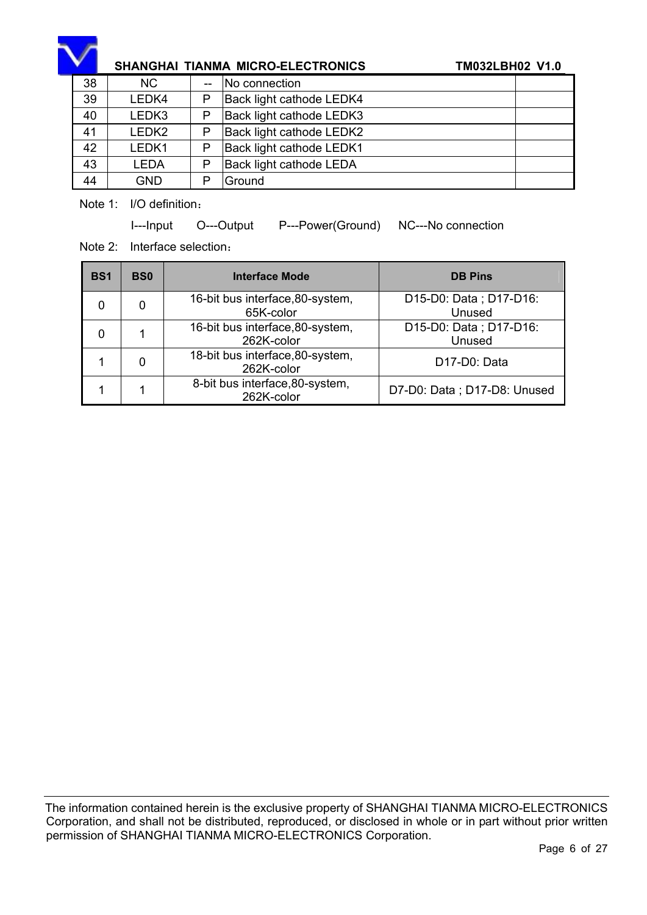

### SHANGHAI TIANMA MICRO-ELECTRONICS **TM032LBH02 V1.0**

| 38 | <b>NC</b>  |   | No connection                   |  |
|----|------------|---|---------------------------------|--|
| 39 | LEDK4      | P | Back light cathode LEDK4        |  |
| 40 | LEDK3      | P | Back light cathode LEDK3        |  |
| 41 | LEDK2      | P | <b>Back light cathode LEDK2</b> |  |
| 42 | LEDK1      | P | Back light cathode LEDK1        |  |
| 43 | LEDA       | P | <b>Back light cathode LEDA</b>  |  |
| 44 | <b>GND</b> | D | Ground                          |  |

Note 1: I/O definition:

I---Input O---Output P---Power(Ground) NC---No connection

Note 2: Interface selection:

| <b>BS1</b> | <b>BS0</b> | <b>Interface Mode</b>                          | <b>DB Pins</b>                         |
|------------|------------|------------------------------------------------|----------------------------------------|
|            |            | 16-bit bus interface, 80-system,<br>65K-color  | D15-D0: Data; D17-D16:<br>Unused       |
|            |            | 16-bit bus interface, 80-system,<br>262K-color | D15-D0: Data; D17-D16:<br>Unused       |
|            |            | 18-bit bus interface, 80-system,<br>262K-color | D <sub>17</sub> -D <sub>0</sub> : Data |
|            |            | 8-bit bus interface, 80-system,<br>262K-color  | D7-D0: Data; D17-D8: Unused            |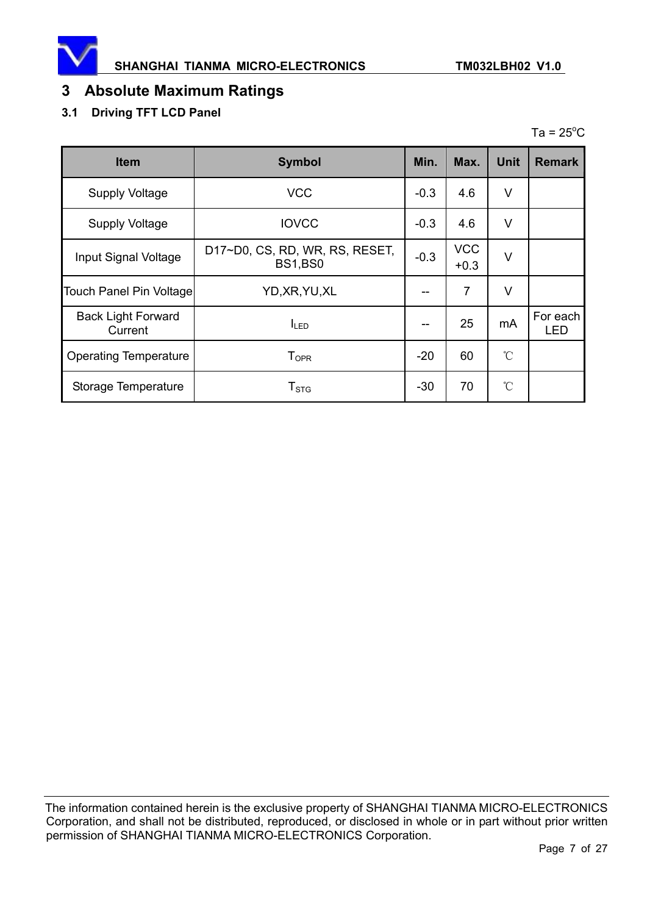

### **3 Absolute Maximum Ratings**

### **3.1 Driving TFT LCD Panel**

|             |               |      |               |                 | Ta = $25^{\circ}$ C |
|-------------|---------------|------|---------------|-----------------|---------------------|
| <b>Item</b> | <b>Symbol</b> | Min. |               |                 | Max. Unit Remark    |
| .           | $\cdots$      | - -  | $\sim$ $\sim$ | $\cdot$ $\cdot$ |                     |

|                                      | $\sim$ ,                                         | .      |                      |              |                        |
|--------------------------------------|--------------------------------------------------|--------|----------------------|--------------|------------------------|
| <b>Supply Voltage</b>                | <b>VCC</b>                                       | $-0.3$ | 4.6                  | V            |                        |
| <b>Supply Voltage</b>                | <b>IOVCC</b>                                     | $-0.3$ | 4.6                  | $\vee$       |                        |
| Input Signal Voltage                 | D17~D0, CS, RD, WR, RS, RESET,<br><b>BS1,BS0</b> | $-0.3$ | <b>VCC</b><br>$+0.3$ | V            |                        |
| Touch Panel Pin Voltage              | YD, XR, YU, XL                                   |        | 7                    | V            |                        |
| <b>Back Light Forward</b><br>Current | <b>I</b> LED                                     |        | 25                   | mA           | For each<br><b>LED</b> |
| <b>Operating Temperature</b>         | $\mathsf{T}_{\mathsf{OPR}}$                      | $-20$  | 60                   | $^{\circ}$ C |                        |
| Storage Temperature                  | ${\sf T}_{\text{STG}}$                           | $-30$  | 70                   | $^{\circ}$ C |                        |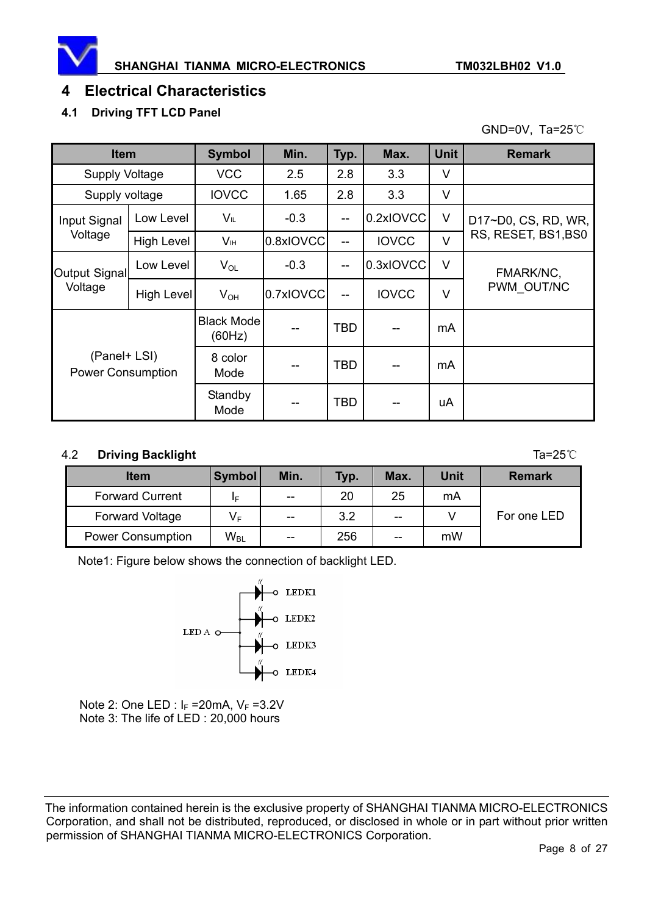

### **4 Electrical Characteristics**

### **4.1 Driving TFT LCD Panel**

GND=0V, Ta=25 $°C$ 

| <b>Item</b>                              |                   | <b>Symbol</b>               | Min.      | Typ.       | Max.         | <b>Unit</b> | <b>Remark</b>       |
|------------------------------------------|-------------------|-----------------------------|-----------|------------|--------------|-------------|---------------------|
| <b>Supply Voltage</b>                    |                   | <b>VCC</b>                  | 2.5       | 2.8        | 3.3          | V           |                     |
| Supply voltage                           |                   | <b>IOVCC</b>                | 1.65      | 2.8        | 3.3          | V           |                     |
| Input Signal                             | Low Level         | $V_{IL}$                    | $-0.3$    | --         | 0.2xIOVCC    | $\vee$      | D17~D0, CS, RD, WR, |
| Voltage                                  | <b>High Level</b> | V <sub>IH</sub>             | 0.8xIOVCC | --         | <b>IOVCC</b> | $\vee$      | RS, RESET, BS1,BS0  |
| Output Signal                            | Low Level         | $V_{OL}$                    | $-0.3$    | --         | 0.3xIOVCC    | $\vee$      | FMARK/NC,           |
| Voltage                                  | High Level        | $V_{OH}$                    | 0.7xIOVCC | --         | <b>IOVCC</b> | $\vee$      | PWM OUT/NC          |
|                                          |                   | <b>Black Mode</b><br>(60Hz) |           | <b>TBD</b> |              | mA          |                     |
| (Panel+ LSI)<br><b>Power Consumption</b> |                   | 8 color<br>Mode             |           | <b>TBD</b> |              | mA          |                     |
|                                          |                   | Standby<br>Mode             |           | <b>TBD</b> |              | uA          |                     |

#### 4.2 **Driving Backlight** Ta=25ć

| <b>Item</b>              | <b>Symbol</b> | Min.                     | Typ. | Max. | <b>Unit</b> | <b>Remark</b> |
|--------------------------|---------------|--------------------------|------|------|-------------|---------------|
| <b>Forward Current</b>   | ΙF            | $- -$                    | 20   | 25   | mA          |               |
| <b>Forward Voltage</b>   | VF            | $-$                      | 3.2  | --   |             | For one LED   |
| <b>Power Consumption</b> | $W_{BL}$      | $\overline{\phantom{m}}$ | 256  | --   | mW          |               |

Note1: Figure below shows the connection of backlight LED.



Note 2: One LED :  $I_F = 20 \text{mA}$ ,  $V_F = 3.2 \text{V}$ Note 3: The life of LED : 20,000 hours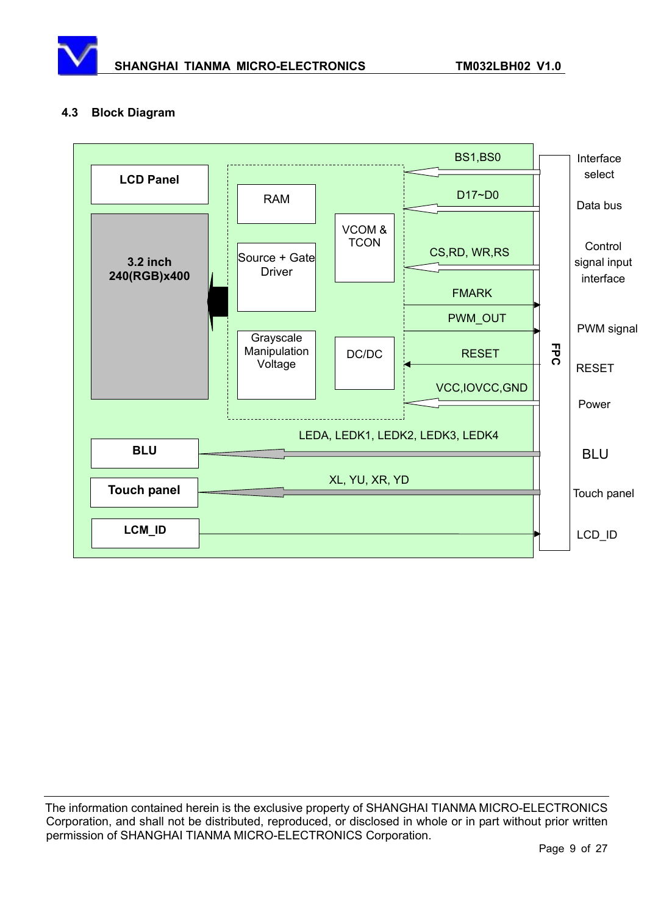

#### **4.3 Block Diagram**

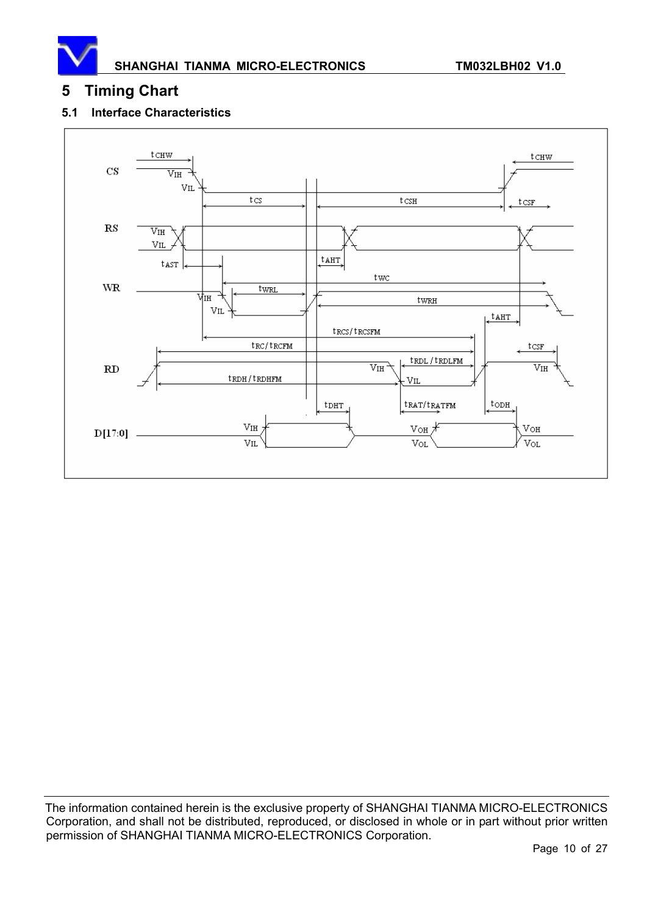

### **5 Timing Chart**

#### **5.1 Interface Characteristics**

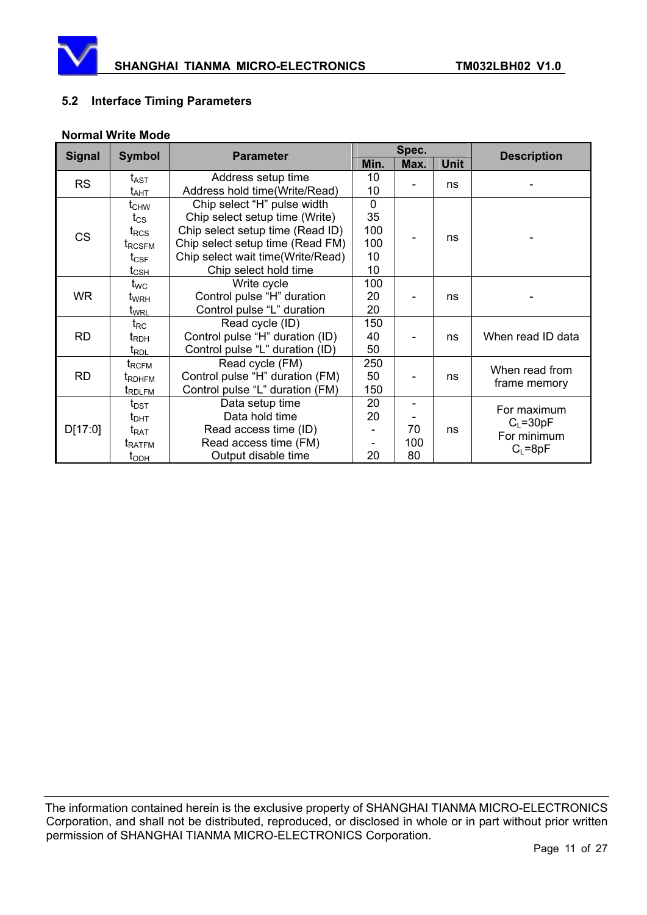

#### **5.2 Interface Timing Parameters**

#### **Normal Write Mode**

| <b>Signal</b> | <b>Symbol</b>                       | <b>Parameter</b>                                                                                       | Spec.       |      |             | <b>Description</b>            |  |
|---------------|-------------------------------------|--------------------------------------------------------------------------------------------------------|-------------|------|-------------|-------------------------------|--|
|               |                                     |                                                                                                        | Min.        | Max. | <b>Unit</b> |                               |  |
| <b>RS</b>     | t <sub>AST</sub>                    | Address setup time<br>Address hold time(Write/Read)                                                    |             |      | ns          |                               |  |
|               | t <sub>ант</sub>                    |                                                                                                        |             |      |             |                               |  |
|               | $t_{\text{CHW}}$                    | Chip select "H" pulse width                                                                            | $\mathbf 0$ |      |             |                               |  |
|               | $t_{\rm CS}$                        | Chip select setup time (Write)<br>Chip select setup time (Read ID)<br>Chip select setup time (Read FM) |             |      | ns          |                               |  |
| <b>CS</b>     | $t_{\text{RCS}}$                    |                                                                                                        |             |      |             |                               |  |
|               | t <sub>RCSFM</sub>                  |                                                                                                        |             |      |             |                               |  |
|               | $t_{\mathsf{CSF}}$                  | Chip select wait time(Write/Read)                                                                      | 10          |      |             |                               |  |
|               | $t_{\scriptstyle{\text{CSH}}}$      | Chip select hold time                                                                                  |             |      |             |                               |  |
|               | t <sub>wc</sub>                     | Write cycle                                                                                            | 100         |      | ns          |                               |  |
| <b>WR</b>     | t <sub>wrH</sub>                    | Control pulse "H" duration                                                                             | 20          |      |             |                               |  |
|               | t <sub>WRL</sub>                    | Control pulse "L" duration                                                                             |             |      |             |                               |  |
|               | $t_{RC}$                            | Read cycle (ID)                                                                                        | 150         |      |             |                               |  |
| <b>RD</b>     | t <sub>RDH</sub>                    | Control pulse "H" duration (ID)                                                                        |             |      | ns          | When read ID data             |  |
|               | t <sub>RDL</sub>                    | Control pulse "L" duration (ID)                                                                        | 50          |      |             |                               |  |
|               | $t_{\scriptstyle\mathrm{RCFM}}$     | Read cycle (FM)                                                                                        | 250         |      |             | When read from                |  |
| <b>RD</b>     | t <sub>RDHFM</sub>                  | Control pulse "H" duration (FM)                                                                        | 50          |      | ns          |                               |  |
|               | t <sub>RDLFM</sub>                  | Control pulse "L" duration (FM)                                                                        |             |      |             | frame memory                  |  |
| D[17:0]       | $t_{\text{DST}}$                    | Data setup time                                                                                        | 20          |      |             |                               |  |
|               | $t_{\text{DHT}}$                    | Data hold time                                                                                         |             |      |             | For maximum                   |  |
|               | $t_{\sf RAT}$                       | Read access time (ID)                                                                                  |             | 70   | ns          | $C_{L} = 30pF$<br>For minimum |  |
|               | <b>t</b> ratfm                      | Read access time (FM)                                                                                  |             | 100  |             | $C_{L} = 8pF$                 |  |
|               | Output disable time<br><b>І</b> орн |                                                                                                        | 20          | 80   |             |                               |  |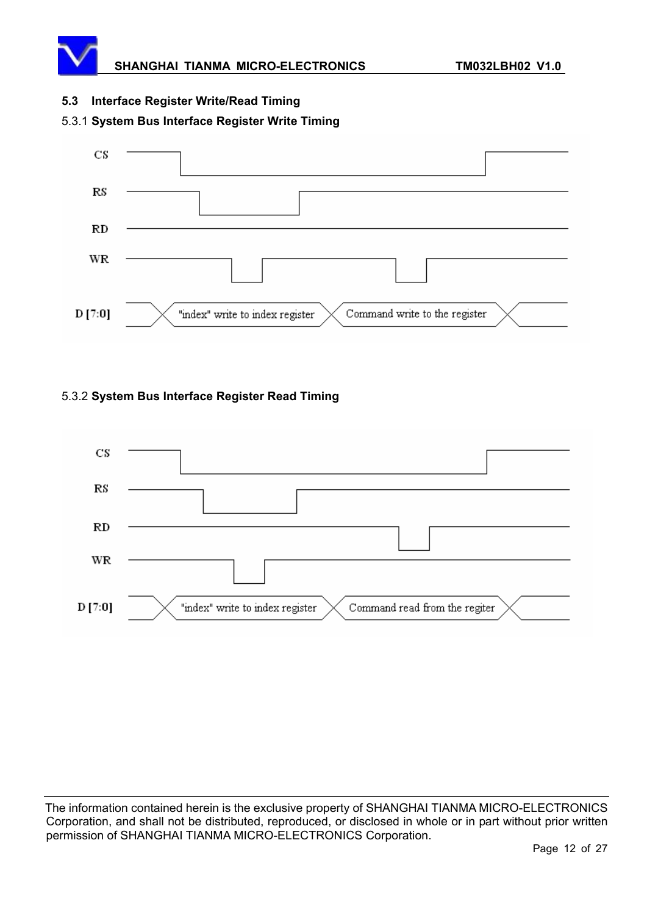

#### **5.3 Interface Register Write/Read Timing**

#### 5.3.1 **System Bus Interface Register Write Timing**



#### 5.3.2 **System Bus Interface Register Read Timing**

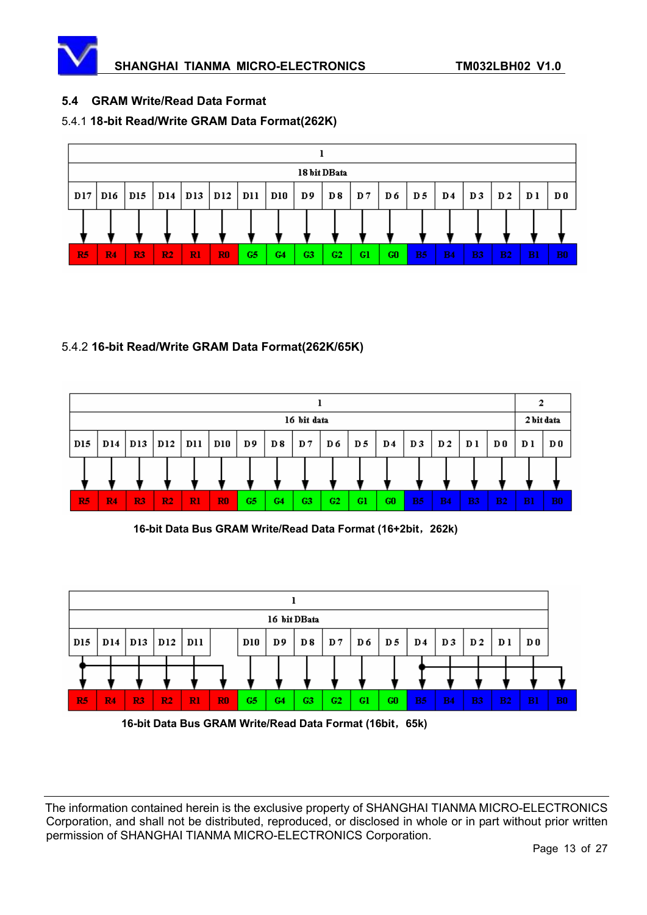

#### **5.4 GRAM Write/Read Data Format**

#### 5.4.1 **18-bit Read/Write GRAM Data Format(262K)**



#### 5.4.2 **16-bit Read/Write GRAM Data Format(262K/65K)**



16-bit Data Bus GRAM Write/Read Data Format (16+2bit, 262k)

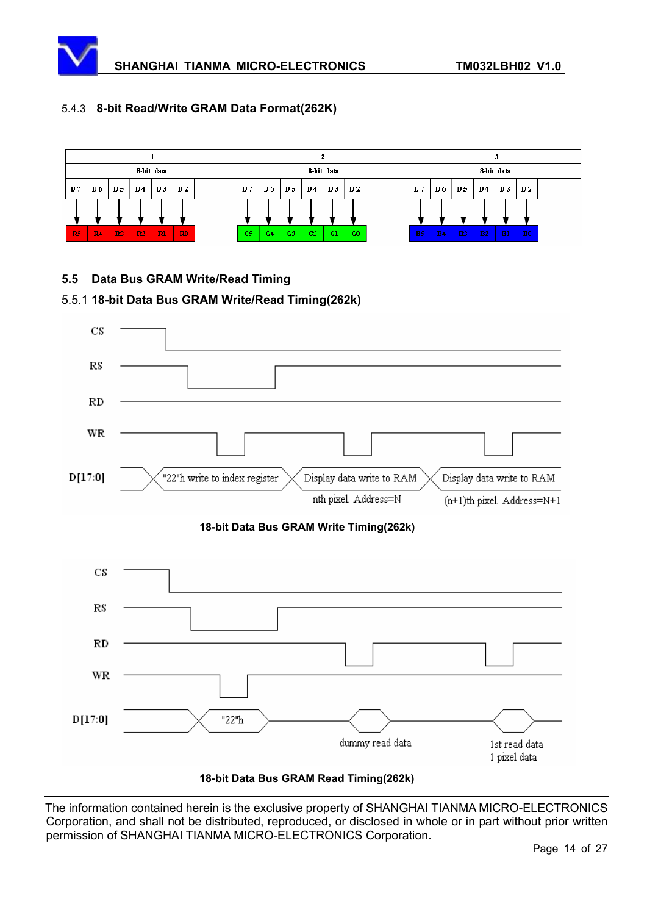#### 5.4.3 **8-bit Read/Write GRAM Data Format(262K)**



#### **5.5 Data Bus GRAM Write/Read Timing**

#### 5.5.1 **18-bit Data Bus GRAM Write/Read Timing(262k)**

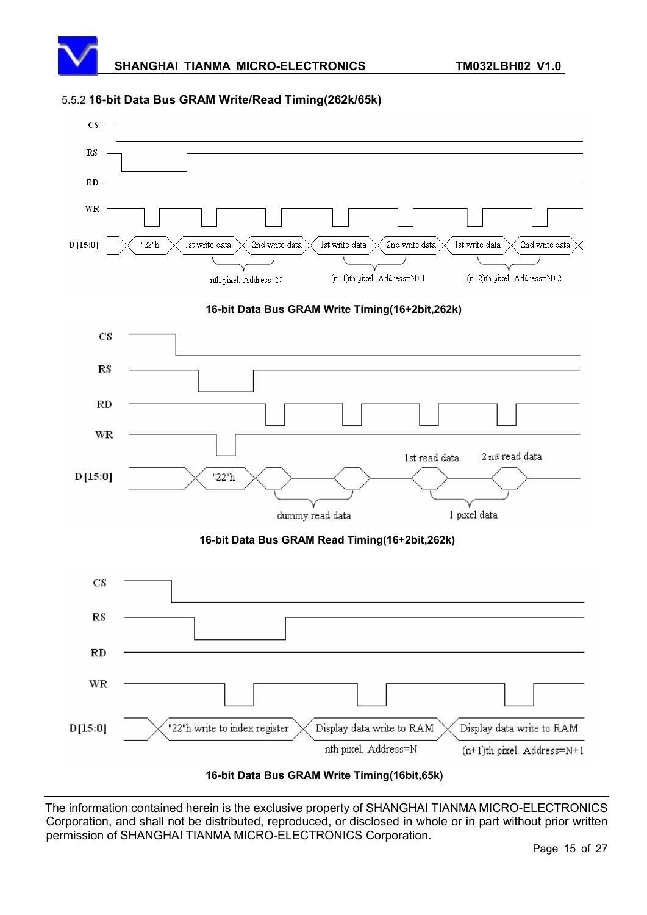#### 5.5.2 **16-bit Data Bus GRAM Write/Read Timing(262k/65k)**

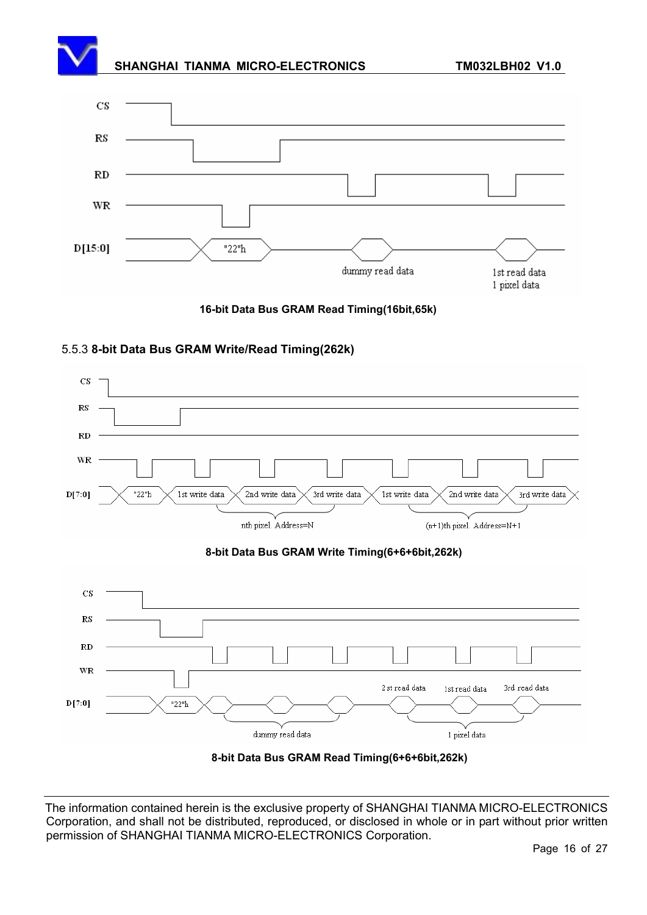### SHANGHAI TIANMA MICRO-ELECTRONICS **TM032LBH02 V1.0**





#### 5.5.3 **8-bit Data Bus GRAM Write/Read Timing(262k)**

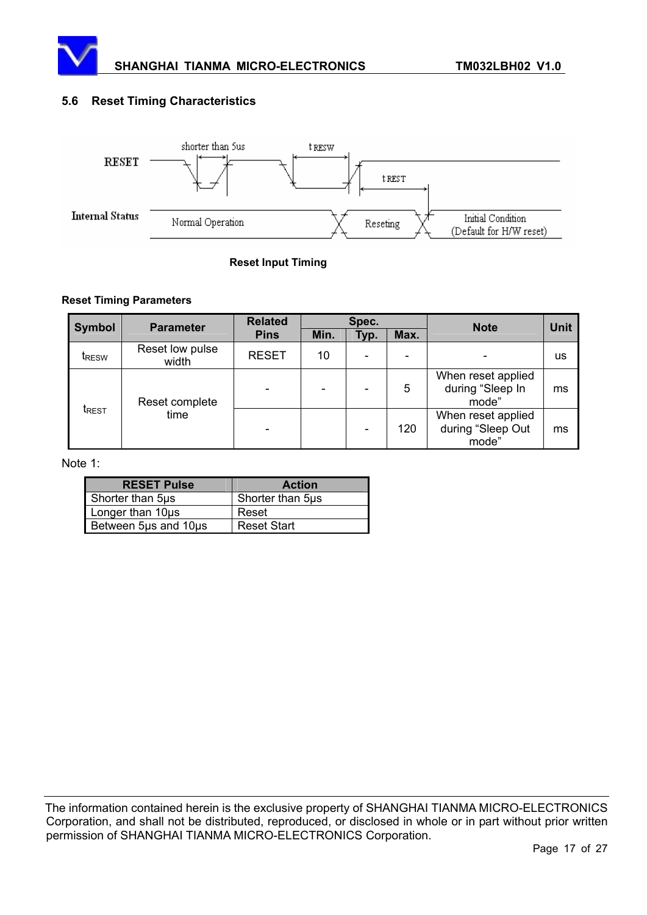

#### **5.6 Reset Timing Characteristics**



#### **Reset Input Timing**

#### **Reset Timing Parameters**

| <b>Symbol</b>            | <b>Parameter</b>         | <b>Related</b> | Spec. |      |                          | <b>Note</b>                                      | <b>Unit</b> |
|--------------------------|--------------------------|----------------|-------|------|--------------------------|--------------------------------------------------|-------------|
|                          |                          | <b>Pins</b>    | Min.  | Typ. | Max.                     |                                                  |             |
| <b>I</b> RESW            | Reset low pulse<br>width | <b>RESET</b>   | 10    |      | $\overline{\phantom{0}}$ |                                                  | <b>us</b>   |
| <b>t</b> <sub>REST</sub> | Reset complete<br>time   |                |       |      | 5                        | When reset applied<br>during "Sleep In<br>mode"  | ms          |
|                          |                          |                |       |      | 120                      | When reset applied<br>during "Sleep Out<br>mode" | ms          |

#### Note 1:

| <b>RESET Pulse</b>   | <b>Action</b>      |
|----------------------|--------------------|
| Shorter than 5µs     | Shorter than 5µs   |
| Longer than 10µs     | Reset              |
| Between 5µs and 10µs | <b>Reset Start</b> |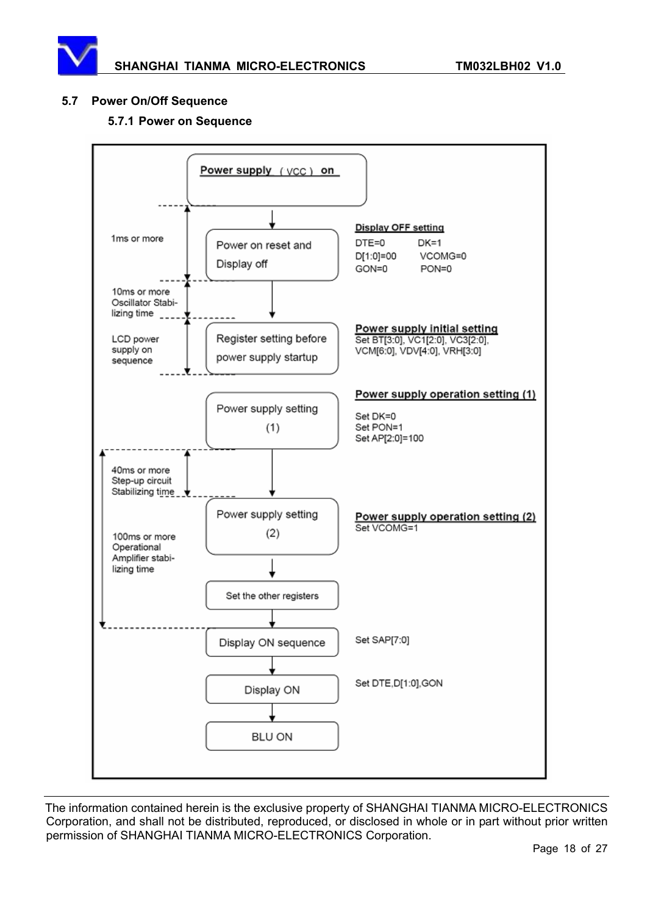#### **5.7 Power On/Off Sequence**

#### **5.7.1 Power on Sequence**

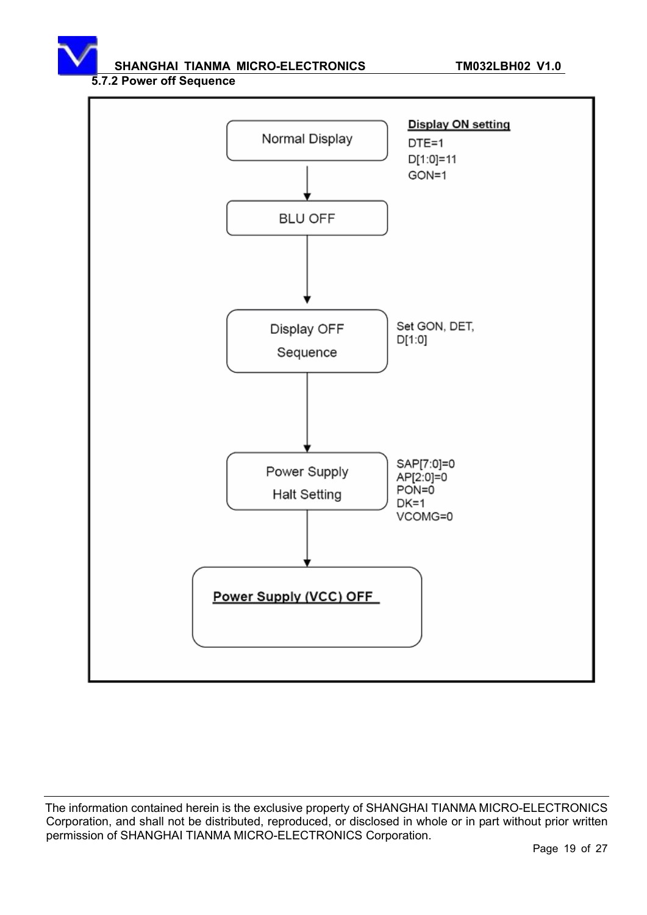SHANGHAI TIANMA MICRO-ELECTRONICS **TM032LBH02 V1.0** 

#### **5.7.2 Power off Sequence**

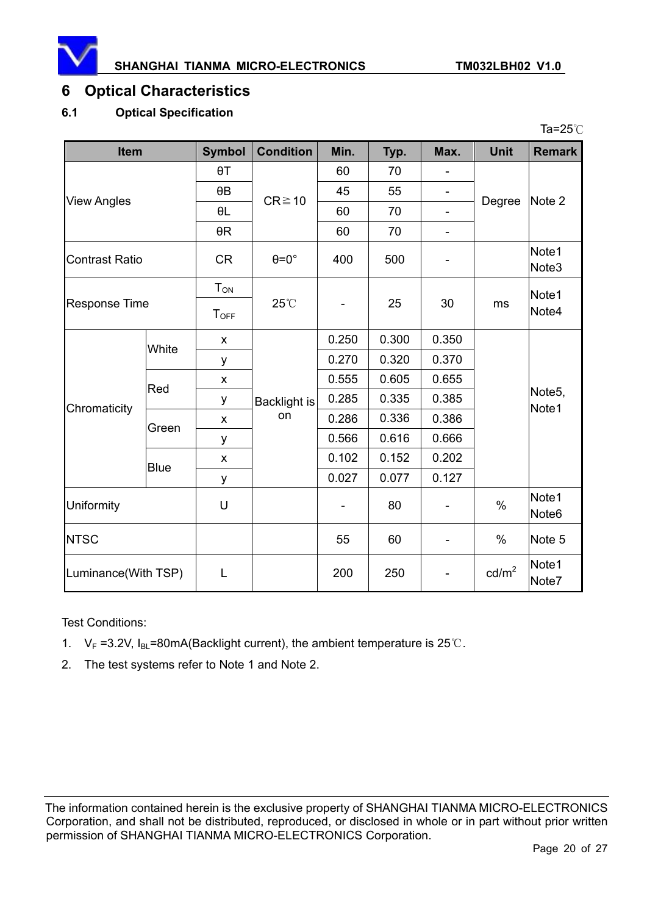

Ta= $25^{\circ}$ C

### **6 Optical Characteristics**

#### **6.1 Optical Specification**

| <b>Item</b>           |             | <b>Symbol</b> | <b>Condition</b>          | Min.  | Typ.  | Max.                     | <b>Unit</b>     | <b>Remark</b>                |
|-----------------------|-------------|---------------|---------------------------|-------|-------|--------------------------|-----------------|------------------------------|
| <b>View Angles</b>    |             | $\theta$ T    | $CR \ge 10$               | 60    | 70    |                          | Degree          | Note 2                       |
|                       |             | $\theta$ B    |                           | 45    | 55    | -                        |                 |                              |
|                       |             | θL            |                           | 60    | 70    | $\overline{\phantom{a}}$ |                 |                              |
|                       |             | $\theta R$    |                           | 60    | 70    | $\overline{\phantom{0}}$ |                 |                              |
| <b>Contrast Ratio</b> |             | <b>CR</b>     | $\theta = 0^{\circ}$      | 400   | 500   |                          |                 | Note1<br>Note3               |
| <b>Response Time</b>  |             | $T_{ON}$      | 25°C                      |       | 25    | 30                       | ms              | Note1                        |
|                       |             | $T_{OFF}$     |                           |       |       |                          |                 | Note4                        |
|                       | White       | X             | <b>Backlight is</b><br>on | 0.250 | 0.300 | 0.350                    |                 | Note <sub>5</sub> ,<br>Note1 |
|                       |             | у             |                           | 0.270 | 0.320 | 0.370                    |                 |                              |
|                       | Red         | X             |                           | 0.555 | 0.605 | 0.655                    |                 |                              |
| Chromaticity          |             | у             |                           | 0.285 | 0.335 | 0.385                    |                 |                              |
|                       | Green       | X             |                           | 0.286 | 0.336 | 0.386                    |                 |                              |
|                       |             | у             |                           | 0.566 | 0.616 | 0.666                    |                 |                              |
|                       | <b>Blue</b> | X             |                           | 0.102 | 0.152 | 0.202                    |                 |                              |
|                       |             | у             |                           | 0.027 | 0.077 | 0.127                    |                 |                              |
| Uniformity            |             | U             |                           |       | 80    |                          | $\%$            | Note1<br>Note <sub>6</sub>   |
| <b>NTSC</b>           |             |               |                           | 55    | 60    |                          | $\%$            | Note 5                       |
| Luminance(With TSP)   |             | L             |                           | 200   | 250   |                          | $\text{cd/m}^2$ | Note1<br>Note7               |

Test Conditions:

- 1.  $V_F = 3.2V$ ,  $I_{BL} = 80mA(Backlight current)$ , the ambient temperature is 25°C.
- 2. The test systems refer to Note 1 and Note 2.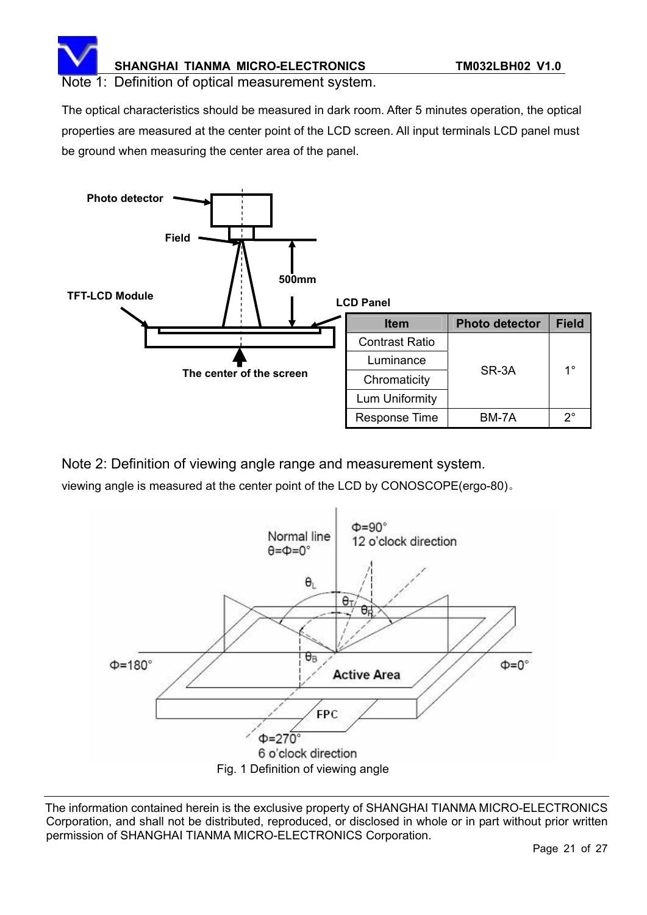

#### Note 1: Definition of optical measurement system.

The optical characteristics should be measured in dark room. After 5 minutes operation, the optical properties are measured at the center point of the LCD screen. All input terminals LCD panel must be ground when measuring the center area of the panel.



Note 2: Definition of viewing angle range and measurement system.

viewing angle is measured at the center point of the LCD by CONOSCOPE(ergo-80).

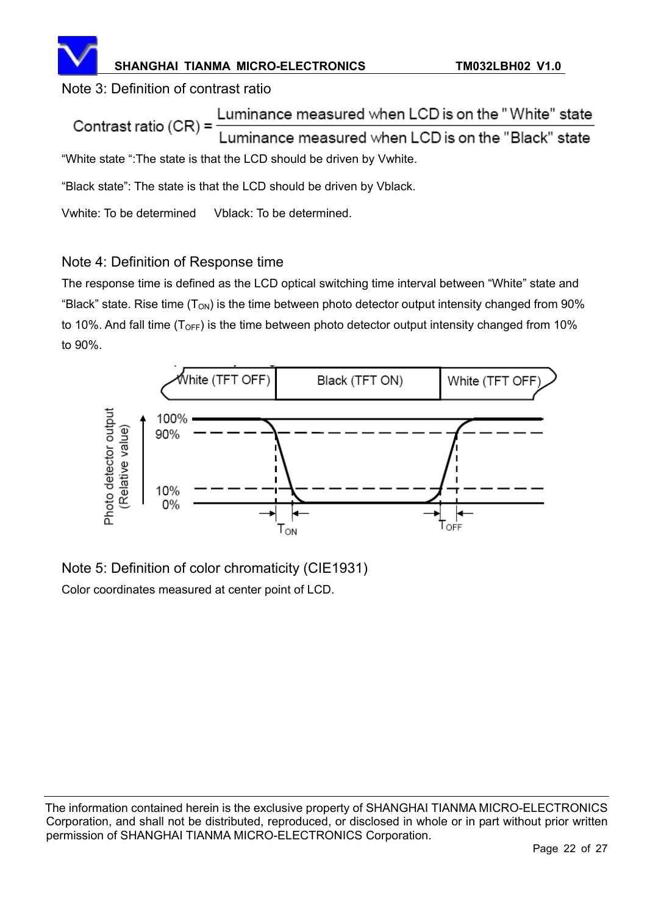

### Note 3: Definition of contrast ratio

Luminance measured when LCD is on the "White" state Contrast ratio  $(CR)$  = Luminance measured when LCD is on the "Black" state "White state ":The state is that the LCD should be driven by Vwhite.

"Black state": The state is that the LCD should be driven by Vblack.

Vwhite: To be determined Vblack: To be determined.

### Note 4: Definition of Response time

The response time is defined as the LCD optical switching time interval between "White" state and "Black" state. Rise time  $(T_{ON})$  is the time between photo detector output intensity changed from 90% to 10%. And fall time  $(T<sub>OFF</sub>)$  is the time between photo detector output intensity changed from 10% to 90%.



Note 5: Definition of color chromaticity (CIE1931) Color coordinates measured at center point of LCD.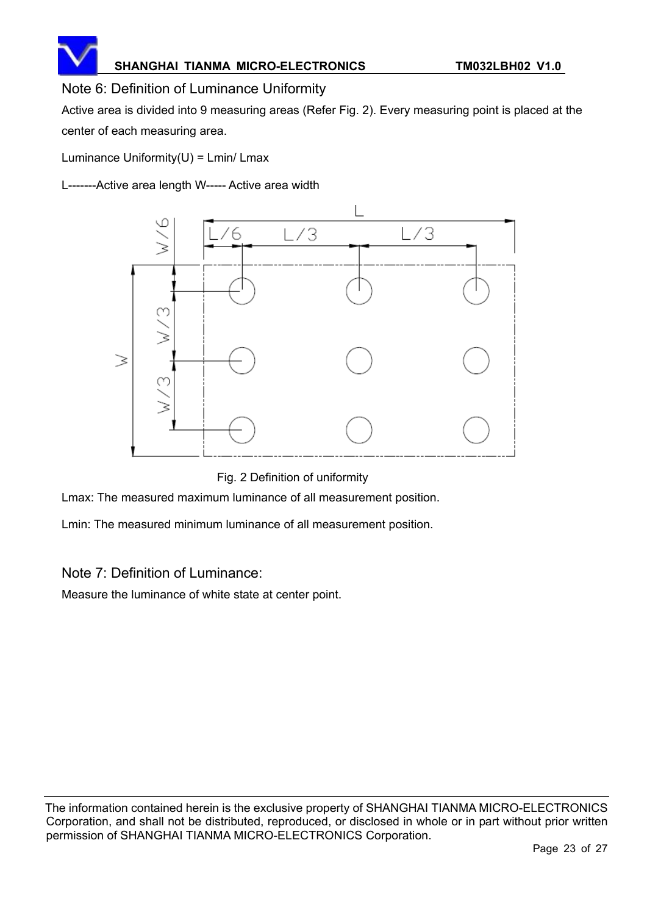

### Note 6: Definition of Luminance Uniformity

Active area is divided into 9 measuring areas (Refer Fig. 2). Every measuring point is placed at the center of each measuring area.

Luminance Uniformity $(U)$  = Lmin/ Lmax

L-------Active area length W----- Active area width



Fig. 2 Definition of uniformity

Lmax: The measured maximum luminance of all measurement position.

Lmin: The measured minimum luminance of all measurement position.

Note 7: Definition of Luminance:

Measure the luminance of white state at center point.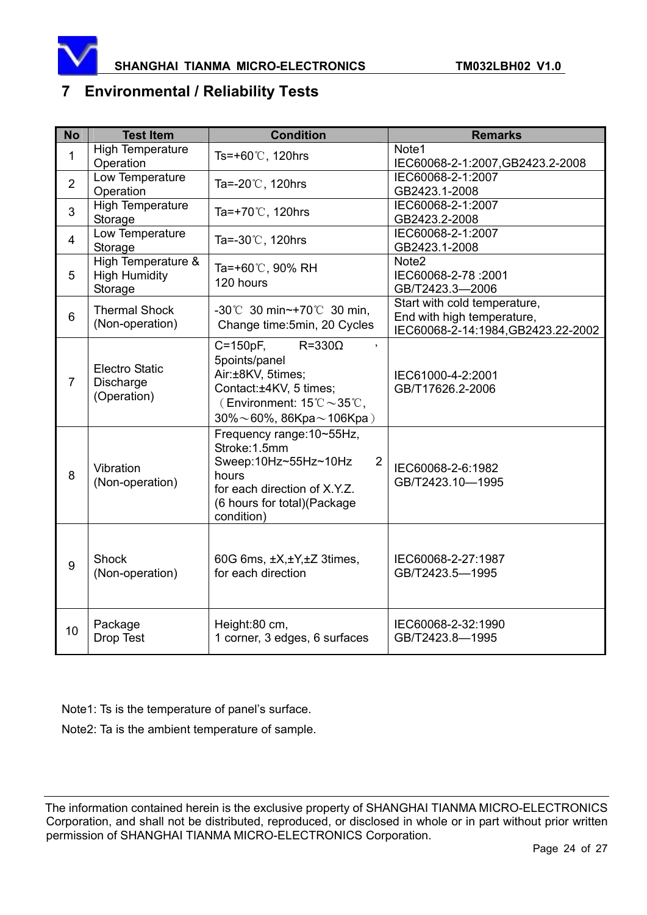

### **7 Environmental / Reliability Tests**

| <b>No</b>      | <b>Test Item</b>                                      | <b>Condition</b>                                                                                                                                                                                       | <b>Remarks</b>                                                                                   |
|----------------|-------------------------------------------------------|--------------------------------------------------------------------------------------------------------------------------------------------------------------------------------------------------------|--------------------------------------------------------------------------------------------------|
| 1              | <b>High Temperature</b><br>Operation                  | Ts=+60℃, 120hrs                                                                                                                                                                                        | Note1<br>IEC60068-2-1:2007, GB2423.2-2008                                                        |
| $\overline{2}$ | Low Temperature<br>Operation                          | Ta=-20°C, 120hrs                                                                                                                                                                                       | IEC60068-2-1:2007<br>GB2423.1-2008                                                               |
| 3              | <b>High Temperature</b><br>Storage                    | Ta=+70℃, 120hrs                                                                                                                                                                                        | IEC60068-2-1:2007<br>GB2423.2-2008                                                               |
| $\overline{4}$ | Low Temperature<br>Storage                            | Ta=-30℃, 120hrs                                                                                                                                                                                        | IEC60068-2-1:2007<br>GB2423.1-2008                                                               |
| 5              | High Temperature &<br><b>High Humidity</b><br>Storage | Ta=+60℃, 90% RH<br>120 hours                                                                                                                                                                           | Note2<br>IEC60068-2-78 :2001<br>GB/T2423.3-2006                                                  |
| 6              | <b>Thermal Shock</b><br>(Non-operation)               | -30℃ 30 min~+70℃ 30 min,<br>Change time: 5min, 20 Cycles                                                                                                                                               | Start with cold temperature,<br>End with high temperature,<br>IEC60068-2-14:1984, GB2423.22-2002 |
| $\overline{7}$ | <b>Electro Static</b><br>Discharge<br>(Operation)     | $R = 330\Omega$<br>C=150pF,<br>5points/panel<br>Air:±8KV, 5times;<br>Contact:±4KV, 5 times;<br>(Environment: $15^{\circ}\text{C} \sim 35^{\circ}\text{C}$ ,<br>$30\% \sim 60\%$ , 86Kpa $\sim$ 106Kpa) | IEC61000-4-2:2001<br>GB/T17626.2-2006                                                            |
| 8              | Vibration<br>(Non-operation)                          | Frequency range: 10~55Hz,<br>Stroke: 1.5mm<br>Sweep:10Hz~55Hz~10Hz<br>$\overline{2}$<br>hours<br>for each direction of X.Y.Z.<br>(6 hours for total) (Package<br>condition)                            | IEC60068-2-6:1982<br>GB/T2423.10-1995                                                            |
| 9              | <b>Shock</b><br>(Non-operation)                       | 60G 6ms, ±X,±Y,±Z 3times,<br>for each direction                                                                                                                                                        | IEC60068-2-27:1987<br>GB/T2423.5-1995                                                            |
| 10             | Package<br>Drop Test                                  | Height:80 cm,<br>1 corner, 3 edges, 6 surfaces                                                                                                                                                         | IEC60068-2-32:1990<br>GB/T2423.8-1995                                                            |

Note1: Ts is the temperature of panel's surface.

Note2: Ta is the ambient temperature of sample.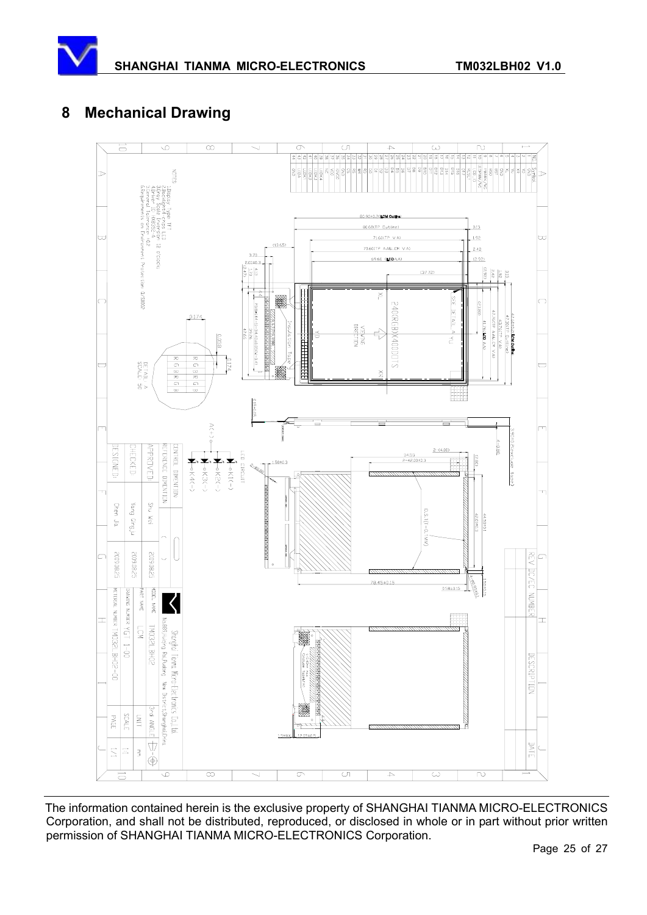# **8 Mechanical Drawing**

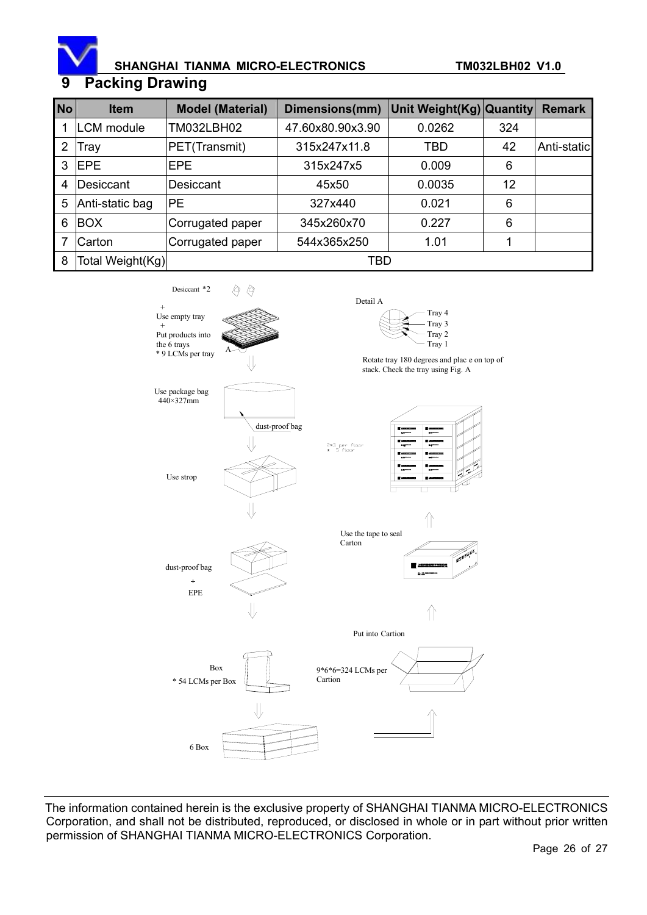

### SHANGHAI TIANMA MICRO-ELECTRONICS **TM032LBH02 V1.0**

### **Packing Drawing**

| <b>No</b> | <b>Item</b>       | <b>Model (Material)</b> | Dimensions(mm)   | Unit Weight(Kg) Quantity |     | <b>Remark</b> |  |
|-----------|-------------------|-------------------------|------------------|--------------------------|-----|---------------|--|
|           | <b>LCM</b> module | TM032LBH02              | 47.60x80.90x3.90 | 0.0262                   | 324 |               |  |
| 2         | Tray              | PET(Transmit)           | 315x247x11.8     | <b>TBD</b>               | 42  | Anti-static   |  |
| 3         | <b>EPE</b>        | <b>EPE</b>              | 315x247x5        | 0.009                    | 6   |               |  |
| 4         | Desiccant         | Desiccant               | 45x50            | 0.0035                   | 12  |               |  |
| 5         | Anti-static bag   | <b>IPE</b>              | 327x440          | 0.021                    | 6   |               |  |
| 6         | <b>BOX</b>        | Corrugated paper        | 345x260x70       | 0.227                    | 6   |               |  |
| 7         | Carton            | Corrugated paper        | 544x365x250      | 1.01                     | 1   |               |  |
| 8         | Total Weight(Kg)  | TBD                     |                  |                          |     |               |  |